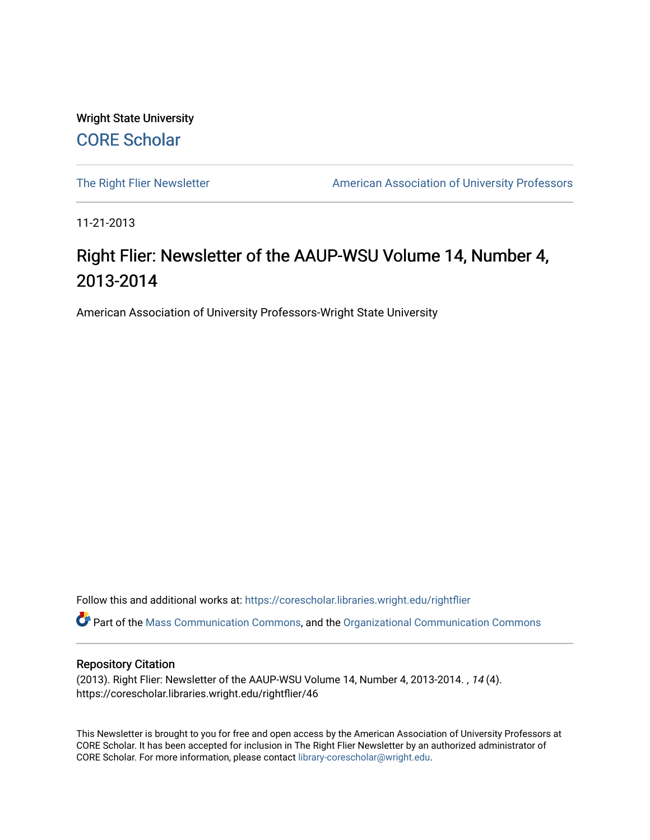Wright State University [CORE Scholar](https://corescholar.libraries.wright.edu/)

[The Right Flier Newsletter](https://corescholar.libraries.wright.edu/rightflier) **American Association of University Professors** 

11-21-2013

## Right Flier: Newsletter of the AAUP-WSU Volume 14, Number 4, 2013-2014

American Association of University Professors-Wright State University

Follow this and additional works at: [https://corescholar.libraries.wright.edu/rightflier](https://corescholar.libraries.wright.edu/rightflier?utm_source=corescholar.libraries.wright.edu%2Frightflier%2F46&utm_medium=PDF&utm_campaign=PDFCoverPages) 

Part of the [Mass Communication Commons,](http://network.bepress.com/hgg/discipline/334?utm_source=corescholar.libraries.wright.edu%2Frightflier%2F46&utm_medium=PDF&utm_campaign=PDFCoverPages) and the [Organizational Communication Commons](http://network.bepress.com/hgg/discipline/335?utm_source=corescholar.libraries.wright.edu%2Frightflier%2F46&utm_medium=PDF&utm_campaign=PDFCoverPages) 

#### Repository Citation

(2013). Right Flier: Newsletter of the AAUP-WSU Volume 14, Number 4, 2013-2014. , 14 (4). https://corescholar.libraries.wright.edu/rightflier/46

This Newsletter is brought to you for free and open access by the American Association of University Professors at CORE Scholar. It has been accepted for inclusion in The Right Flier Newsletter by an authorized administrator of CORE Scholar. For more information, please contact [library-corescholar@wright.edu](mailto:library-corescholar@wright.edu).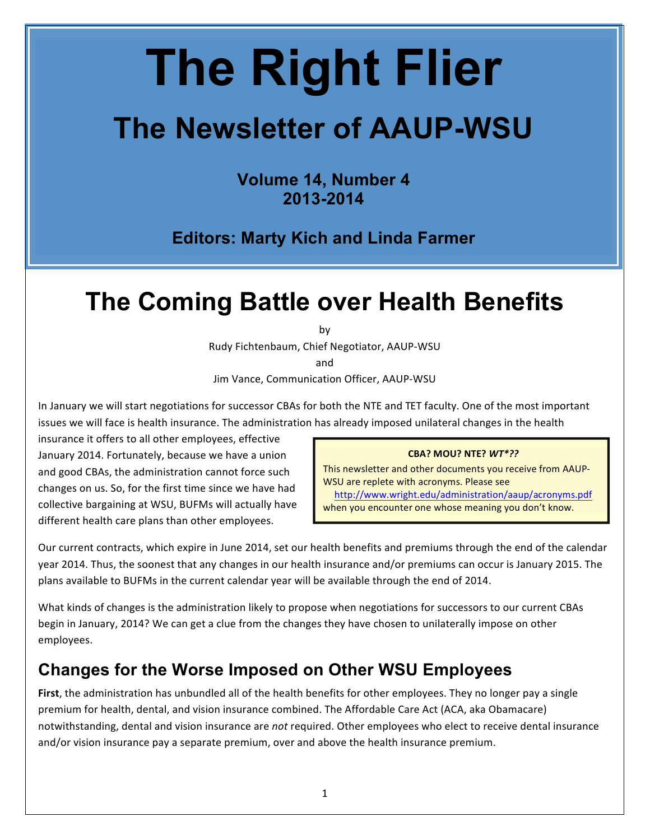# **The Right Flier**

# The Newsletter of AAUP-WSU

**Volume 14, Number 4** 2013-2014

**Editors: Marty Kich and Linda Farmer** 

## The Coming Battle over Health Benefits

bv

Rudy Fichtenbaum, Chief Negotiator, AAUP-WSU

and

Jim Vance, Communication Officer, AAUP-WSU

In January we will start negotiations for successor CBAs for both the NTE and TET faculty. One of the most important issues we will face is health insurance. The administration has already imposed unilateral changes in the health

insurance it offers to all other employees, effective January 2014. Fortunately, because we have a union and good CBAs, the administration cannot force such changes on us. So, for the first time since we have had collective bargaining at WSU, BUFMs will actually have different health care plans than other employees.

#### CBA? MOU? NTE? WT\*??

This newsletter and other documents you receive from AAUP-WSU are replete with acronyms. Please see http://www.wright.edu/administration/aaup/acronyms.pdf when you encounter one whose meaning you don't know.

Our current contracts, which expire in June 2014, set our health benefits and premiums through the end of the calendar year 2014. Thus, the soonest that any changes in our health insurance and/or premiums can occur is January 2015. The plans available to BUFMs in the current calendar year will be available through the end of 2014.

What kinds of changes is the administration likely to propose when negotiations for successors to our current CBAs begin in January, 2014? We can get a clue from the changes they have chosen to unilaterally impose on other employees.

#### **Changes for the Worse Imposed on Other WSU Employees**

First, the administration has unbundled all of the health benefits for other employees. They no longer pay a single premium for health, dental, and vision insurance combined. The Affordable Care Act (ACA, aka Obamacare) notwithstanding, dental and vision insurance are not required. Other employees who elect to receive dental insurance and/or vision insurance pay a separate premium, over and above the health insurance premium.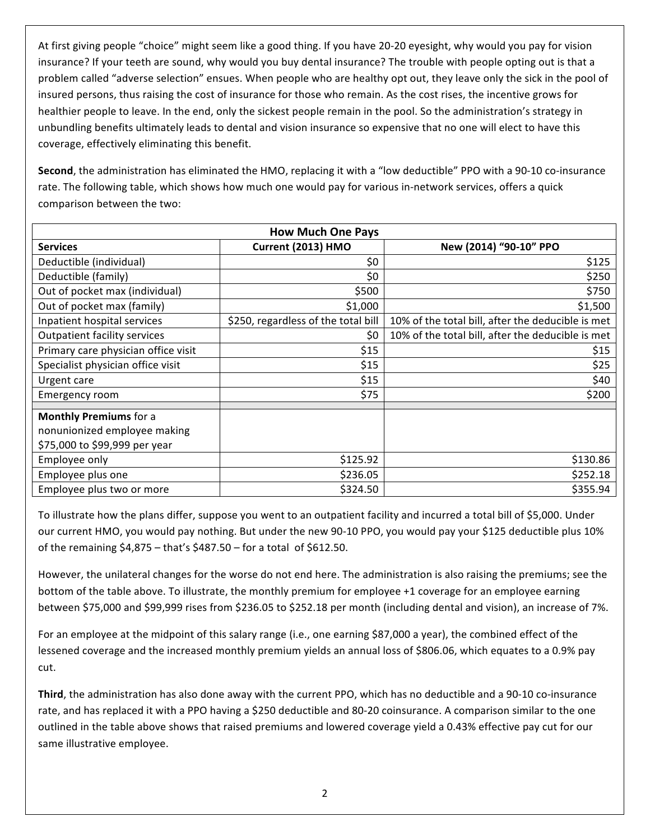At first giving people "choice" might seem like a good thing. If you have 20-20 eyesight, why would you pay for vision insurance? If your teeth are sound, why would you buy dental insurance? The trouble with people opting out is that a problem called "adverse selection" ensues. When people who are healthy opt out, they leave only the sick in the pool of insured persons, thus raising the cost of insurance for those who remain. As the cost rises, the incentive grows for healthier people to leave. In the end, only the sickest people remain in the pool. So the administration's strategy in unbundling benefits ultimately leads to dental and vision insurance so expensive that no one will elect to have this coverage, effectively eliminating this benefit.

Second, the administration has eliminated the HMO, replacing it with a "low deductible" PPO with a 90-10 co-insurance rate. The following table, which shows how much one would pay for various in-network services, offers a quick comparison between the two:

| <b>How Much One Pays</b>                                                                       |                                     |                                                   |  |
|------------------------------------------------------------------------------------------------|-------------------------------------|---------------------------------------------------|--|
| <b>Services</b>                                                                                | Current (2013) HMO                  | New (2014) "90-10" PPO                            |  |
| Deductible (individual)                                                                        | \$0                                 | \$125                                             |  |
| Deductible (family)                                                                            | \$0                                 | \$250                                             |  |
| Out of pocket max (individual)                                                                 | \$500                               | \$750                                             |  |
| Out of pocket max (family)                                                                     | \$1,000                             | \$1,500                                           |  |
| Inpatient hospital services                                                                    | \$250, regardless of the total bill | 10% of the total bill, after the deducible is met |  |
| <b>Outpatient facility services</b>                                                            | \$0                                 | 10% of the total bill, after the deducible is met |  |
| Primary care physician office visit                                                            | \$15                                | \$15                                              |  |
| Specialist physician office visit                                                              | \$15                                | \$25                                              |  |
| Urgent care                                                                                    | \$15                                | \$40                                              |  |
| Emergency room                                                                                 | \$75                                | \$200                                             |  |
| <b>Monthly Premiums for a</b><br>nonunionized employee making<br>\$75,000 to \$99,999 per year |                                     |                                                   |  |
| Employee only                                                                                  | \$125.92                            | \$130.86                                          |  |
| Employee plus one                                                                              | \$236.05                            | \$252.18                                          |  |
| Employee plus two or more                                                                      | \$324.50                            | \$355.94                                          |  |

To illustrate how the plans differ, suppose you went to an outpatient facility and incurred a total bill of \$5,000. Under our current HMO, you would pay nothing. But under the new 90-10 PPO, you would pay your \$125 deductible plus 10% of the remaining  $$4,875$  – that's  $$487.50$  – for a total of  $$612.50$ .

However, the unilateral changes for the worse do not end here. The administration is also raising the premiums; see the bottom of the table above. To illustrate, the monthly premium for employee +1 coverage for an employee earning between \$75,000 and \$99,999 rises from \$236.05 to \$252.18 per month (including dental and vision), an increase of 7%.

For an employee at the midpoint of this salary range (i.e., one earning \$87,000 a year), the combined effect of the lessened coverage and the increased monthly premium yields an annual loss of \$806.06, which equates to a 0.9% pay cut.

Third, the administration has also done away with the current PPO, which has no deductible and a 90-10 co-insurance rate, and has replaced it with a PPO having a \$250 deductible and 80-20 coinsurance. A comparison similar to the one outlined in the table above shows that raised premiums and lowered coverage yield a 0.43% effective pay cut for our same illustrative employee.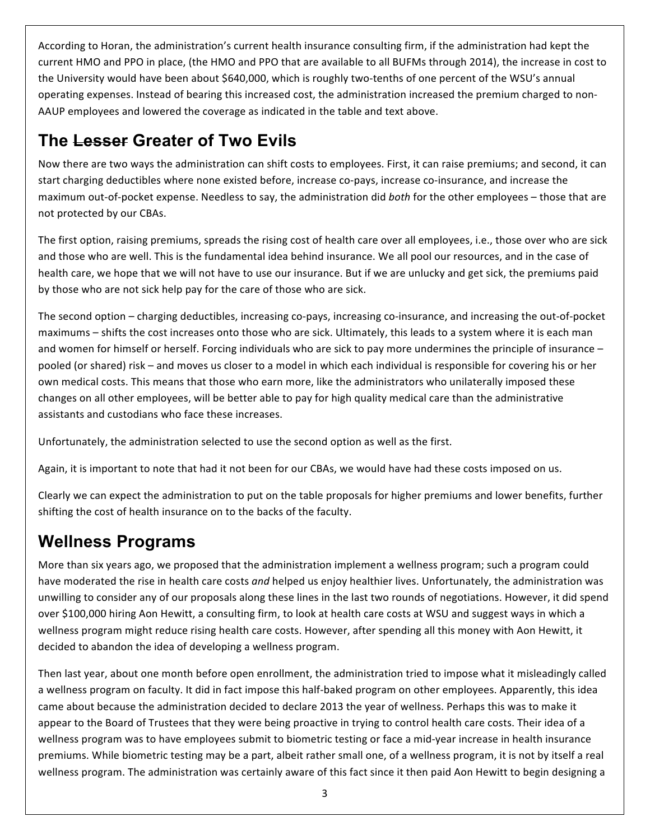According to Horan, the administration's current health insurance consulting firm, if the administration had kept the current HMO and PPO in place, (the HMO and PPO that are available to all BUFMs through 2014), the increase in cost to the University would have been about \$640,000, which is roughly two-tenths of one percent of the WSU's annual operating expenses. Instead of bearing this increased cost, the administration increased the premium charged to non-AAUP employees and lowered the coverage as indicated in the table and text above.

#### **The Lesser Greater of Two Evils**

Now there are two ways the administration can shift costs to employees. First, it can raise premiums; and second, it can start charging deductibles where none existed before, increase co-pays, increase co-insurance, and increase the maximum out-of-pocket expense. Needless to say, the administration did both for the other employees – those that are not protected by our CBAs.

The first option, raising premiums, spreads the rising cost of health care over all employees, i.e., those over who are sick and those who are well. This is the fundamental idea behind insurance. We all pool our resources, and in the case of health care, we hope that we will not have to use our insurance. But if we are unlucky and get sick, the premiums paid by those who are not sick help pay for the care of those who are sick.

The second option – charging deductibles, increasing co-pays, increasing co-insurance, and increasing the out-of-pocket maximums – shifts the cost increases onto those who are sick. Ultimately, this leads to a system where it is each man and women for himself or herself. Forcing individuals who are sick to pay more undermines the principle of insurance – pooled (or shared) risk – and moves us closer to a model in which each individual is responsible for covering his or her own medical costs. This means that those who earn more, like the administrators who unilaterally imposed these changes on all other employees, will be better able to pay for high quality medical care than the administrative assistants and custodians who face these increases.

Unfortunately, the administration selected to use the second option as well as the first.

Again, it is important to note that had it not been for our CBAs, we would have had these costs imposed on us.

Clearly we can expect the administration to put on the table proposals for higher premiums and lower benefits, further shifting the cost of health insurance on to the backs of the faculty.

## **Wellness Programs**

More than six years ago, we proposed that the administration implement a wellness program; such a program could have moderated the rise in health care costs *and* helped us enjoy healthier lives. Unfortunately, the administration was unwilling to consider any of our proposals along these lines in the last two rounds of negotiations. However, it did spend over \$100,000 hiring Aon Hewitt, a consulting firm, to look at health care costs at WSU and suggest ways in which a wellness program might reduce rising health care costs. However, after spending all this money with Aon Hewitt, it decided to abandon the idea of developing a wellness program.

Then last year, about one month before open enrollment, the administration tried to impose what it misleadingly called a wellness program on faculty. It did in fact impose this half-baked program on other employees. Apparently, this idea came about because the administration decided to declare 2013 the year of wellness. Perhaps this was to make it appear to the Board of Trustees that they were being proactive in trying to control health care costs. Their idea of a wellness program was to have employees submit to biometric testing or face a mid-year increase in health insurance premiums. While biometric testing may be a part, albeit rather small one, of a wellness program, it is not by itself a real wellness program. The administration was certainly aware of this fact since it then paid Aon Hewitt to begin designing a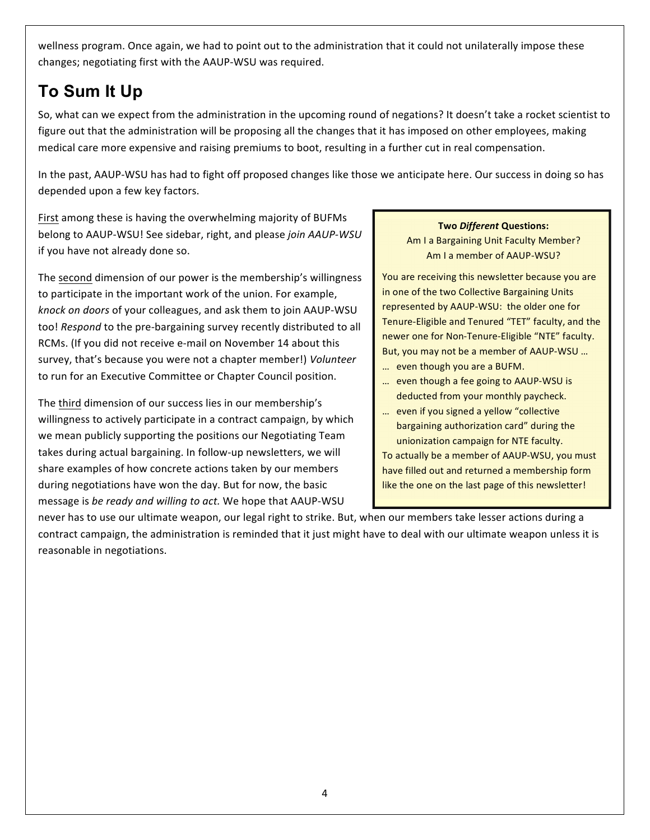wellness program. Once again, we had to point out to the administration that it could not unilaterally impose these changes; negotiating first with the AAUP-WSU was required.

## To Sum It Up

So, what can we expect from the administration in the upcoming round of negations? It doesn't take a rocket scientist to figure out that the administration will be proposing all the changes that it has imposed on other employees, making medical care more expensive and raising premiums to boot, resulting in a further cut in real compensation.

In the past, AAUP-WSU has had to fight off proposed changes like those we anticipate here. Our success in doing so has depended upon a few key factors.

First among these is having the overwhelming majority of BUFMs belong to AAUP-WSU! See sidebar, right, and please join AAUP-WSU if you have not already done so.

The second dimension of our power is the membership's willingness to participate in the important work of the union. For example, knock on doors of your colleagues, and ask them to join AAUP-WSU too! Respond to the pre-bargaining survey recently distributed to all RCMs. (If you did not receive e-mail on November 14 about this survey, that's because you were not a chapter member!) Volunteer to run for an Executive Committee or Chapter Council position.

The third dimension of our success lies in our membership's willingness to actively participate in a contract campaign, by which we mean publicly supporting the positions our Negotiating Team takes during actual bargaining. In follow-up newsletters, we will share examples of how concrete actions taken by our members during negotiations have won the day. But for now, the basic message is be ready and willing to act. We hope that AAUP-WSU

#### **Two Different Questions:**

Am I a Bargaining Unit Faculty Member? Am I a member of AAUP-WSU?

You are receiving this newsletter because you are in one of the two Collective Bargaining Units represented by AAUP-WSU: the older one for Tenure-Eligible and Tenured "TET" faculty, and the newer one for Non-Tenure-Eligible "NTE" faculty. But, you may not be a member of AAUP-WSU ...

- ... even though you are a BUFM.
- ... even though a fee going to AAUP-WSU is deducted from your monthly paycheck.
- ... even if you signed a yellow "collective" bargaining authorization card" during the unionization campaign for NTE faculty.

To actually be a member of AAUP-WSU, you must have filled out and returned a membership form like the one on the last page of this newsletter!

never has to use our ultimate weapon, our legal right to strike. But, when our members take lesser actions during a contract campaign, the administration is reminded that it just might have to deal with our ultimate weapon unless it is reasonable in negotiations.